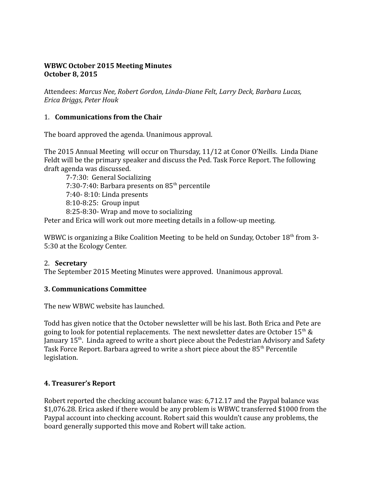#### **WBWC October 2015 Meeting Minutes October 8, 2015**

Attendees: *Marcus Nee, Robert Gordon, Linda-Diane Felt, Larry Deck, Barbara Lucas, Erica Briggs, Peter Houk*

#### 1. **Communications from the Chair**

The board approved the agenda. Unanimous approval.

The 2015 Annual Meeting will occur on Thursday, 11/12 at Conor O'Neills. Linda Diane Feldt will be the primary speaker and discuss the Ped. Task Force Report. The following draft agenda was discussed.

7-7:30: General Socializing 7:30-7:40: Barbara presents on  $85<sup>th</sup>$  percentile 7:40- 8:10: Linda presents 8:10-8:25: Group input 8:25-8:30- Wrap and move to socializing

Peter and Erica will work out more meeting details in a follow-up meeting.

WBWC is organizing a Bike Coalition Meeting to be held on Sunday, October 18<sup>th</sup> from 3-5:30 at the Ecology Center.

#### 2. **Secretary**

The September 2015 Meeting Minutes were approved. Unanimous approval.

#### **3. Communications Committee**

The new WBWC website has launched.

Todd has given notice that the October newsletter will be his last. Both Erica and Pete are going to look for potential replacements. The next newsletter dates are October  $15<sup>th</sup>$  & January 15<sup>th</sup>. Linda agreed to write a short piece about the Pedestrian Advisory and Safety Task Force Report. Barbara agreed to write a short piece about the 85<sup>th</sup> Percentile legislation.

#### **4. Treasurer's Report**

Robert reported the checking account balance was: 6,712.17 and the Paypal balance was \$1,076.28. Erica asked if there would be any problem is WBWC transferred \$1000 from the Paypal account into checking account. Robert said this wouldn't cause any problems, the board generally supported this move and Robert will take action.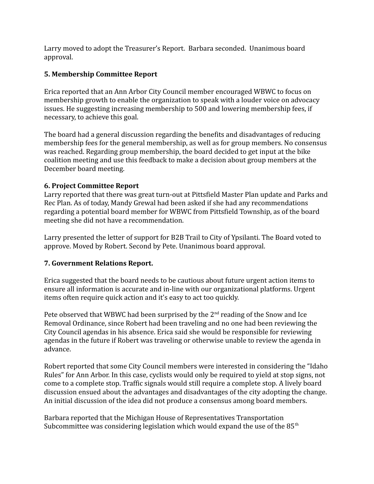Larry moved to adopt the Treasurer's Report. Barbara seconded. Unanimous board approval.

### **5. Membership Committee Report**

Erica reported that an Ann Arbor City Council member encouraged WBWC to focus on membership growth to enable the organization to speak with a louder voice on advocacy issues. He suggesting increasing membership to 500 and lowering membership fees, if necessary, to achieve this goal.

The board had a general discussion regarding the benefits and disadvantages of reducing membership fees for the general membership, as well as for group members. No consensus was reached. Regarding group membership, the board decided to get input at the bike coalition meeting and use this feedback to make a decision about group members at the December board meeting.

### **6. Project Committee Report**

Larry reported that there was great turn-out at Pittsfield Master Plan update and Parks and Rec Plan. As of today, Mandy Grewal had been asked if she had any recommendations regarding a potential board member for WBWC from Pittsfield Township, as of the board meeting she did not have a recommendation.

Larry presented the letter of support for B2B Trail to City of Ypsilanti. The Board voted to approve. Moved by Robert. Second by Pete. Unanimous board approval.

# **7. Government Relations Report.**

Erica suggested that the board needs to be cautious about future urgent action items to ensure all information is accurate and in-line with our organizational platforms. Urgent items often require quick action and it's easy to act too quickly.

Pete observed that WBWC had been surprised by the  $2<sup>nd</sup>$  reading of the Snow and Ice Removal Ordinance, since Robert had been traveling and no one had been reviewing the City Council agendas in his absence. Erica said she would be responsible for reviewing agendas in the future if Robert was traveling or otherwise unable to review the agenda in advance.

Robert reported that some City Council members were interested in considering the "Idaho Rules" for Ann Arbor. In this case, cyclists would only be required to yield at stop signs, not come to a complete stop. Traffic signals would still require a complete stop. A lively board discussion ensued about the advantages and disadvantages of the city adopting the change. An initial discussion of the idea did not produce a consensus among board members.

Barbara reported that the Michigan House of Representatives Transportation Subcommittee was considering legislation which would expand the use of the  $85<sup>th</sup>$